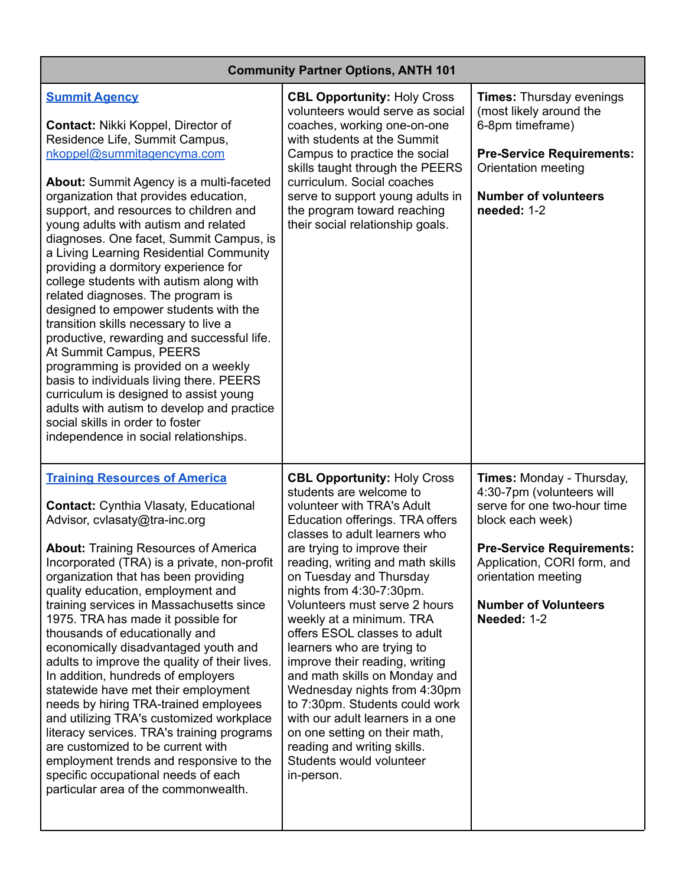| <b>Community Partner Options, ANTH 101</b>                                                                                                                                                                                                                                                                                                                                                                                                                                                                                                                                                                                                                                                                                                                                                                                                                                                                                                      |                                                                                                                                                                                                                                                                                                                                                                                                                                                                                                                                                                                                                                                                                                         |                                                                                                                                                                                                                                                   |  |  |
|-------------------------------------------------------------------------------------------------------------------------------------------------------------------------------------------------------------------------------------------------------------------------------------------------------------------------------------------------------------------------------------------------------------------------------------------------------------------------------------------------------------------------------------------------------------------------------------------------------------------------------------------------------------------------------------------------------------------------------------------------------------------------------------------------------------------------------------------------------------------------------------------------------------------------------------------------|---------------------------------------------------------------------------------------------------------------------------------------------------------------------------------------------------------------------------------------------------------------------------------------------------------------------------------------------------------------------------------------------------------------------------------------------------------------------------------------------------------------------------------------------------------------------------------------------------------------------------------------------------------------------------------------------------------|---------------------------------------------------------------------------------------------------------------------------------------------------------------------------------------------------------------------------------------------------|--|--|
| <b>Summit Agency</b><br><b>Contact: Nikki Koppel, Director of</b><br>Residence Life, Summit Campus,<br>nkoppel@summitagencyma.com<br><b>About:</b> Summit Agency is a multi-faceted<br>organization that provides education,<br>support, and resources to children and<br>young adults with autism and related<br>diagnoses. One facet, Summit Campus, is<br>a Living Learning Residential Community<br>providing a dormitory experience for<br>college students with autism along with<br>related diagnoses. The program is<br>designed to empower students with the<br>transition skills necessary to live a<br>productive, rewarding and successful life.<br>At Summit Campus, PEERS<br>programming is provided on a weekly<br>basis to individuals living there. PEERS<br>curriculum is designed to assist young<br>adults with autism to develop and practice<br>social skills in order to foster<br>independence in social relationships. | <b>CBL Opportunity: Holy Cross</b><br>volunteers would serve as social<br>coaches, working one-on-one<br>with students at the Summit<br>Campus to practice the social<br>skills taught through the PEERS<br>curriculum. Social coaches<br>serve to support young adults in<br>the program toward reaching<br>their social relationship goals.                                                                                                                                                                                                                                                                                                                                                           | <b>Times: Thursday evenings</b><br>(most likely around the<br>6-8pm timeframe)<br><b>Pre-Service Requirements:</b><br>Orientation meeting<br><b>Number of volunteers</b><br>needed: 1-2                                                           |  |  |
| <b>Training Resources of America</b><br><b>Contact:</b> Cynthia Vlasaty, Educational<br>Advisor, cvlasaty@tra-inc.org<br><b>About: Training Resources of America</b><br>Incorporated (TRA) is a private, non-profit<br>organization that has been providing<br>quality education, employment and<br>training services in Massachusetts since<br>1975. TRA has made it possible for<br>thousands of educationally and<br>economically disadvantaged youth and<br>adults to improve the quality of their lives.<br>In addition, hundreds of employers<br>statewide have met their employment<br>needs by hiring TRA-trained employees<br>and utilizing TRA's customized workplace<br>literacy services. TRA's training programs<br>are customized to be current with<br>employment trends and responsive to the<br>specific occupational needs of each<br>particular area of the commonwealth.                                                    | <b>CBL Opportunity: Holy Cross</b><br>students are welcome to<br>volunteer with TRA's Adult<br>Education offerings. TRA offers<br>classes to adult learners who<br>are trying to improve their<br>reading, writing and math skills<br>on Tuesday and Thursday<br>nights from 4:30-7:30pm.<br>Volunteers must serve 2 hours<br>weekly at a minimum. TRA<br>offers ESOL classes to adult<br>learners who are trying to<br>improve their reading, writing<br>and math skills on Monday and<br>Wednesday nights from 4:30pm<br>to 7:30pm. Students could work<br>with our adult learners in a one<br>on one setting on their math,<br>reading and writing skills.<br>Students would volunteer<br>in-person. | Times: Monday - Thursday,<br>4:30-7pm (volunteers will<br>serve for one two-hour time<br>block each week)<br><b>Pre-Service Requirements:</b><br>Application, CORI form, and<br>orientation meeting<br><b>Number of Volunteers</b><br>Needed: 1-2 |  |  |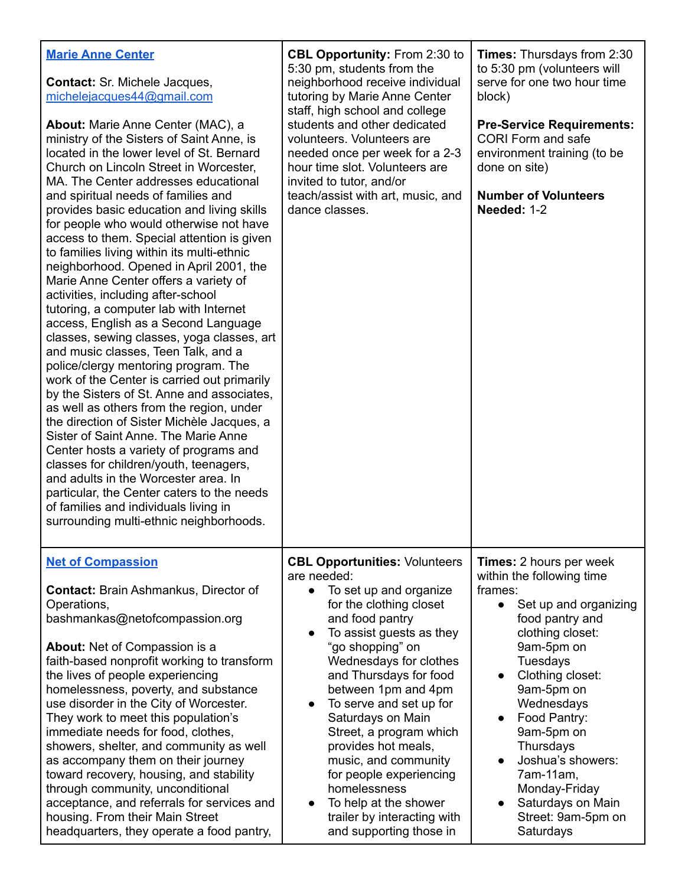| <b>Marie Anne Center</b><br>Contact: Sr. Michele Jacques,<br>michelejacques44@gmail.com<br>About: Marie Anne Center (MAC), a<br>ministry of the Sisters of Saint Anne, is<br>located in the lower level of St. Bernard<br>Church on Lincoln Street in Worcester,<br>MA. The Center addresses educational<br>and spiritual needs of families and<br>provides basic education and living skills<br>for people who would otherwise not have<br>access to them. Special attention is given<br>to families living within its multi-ethnic<br>neighborhood. Opened in April 2001, the<br>Marie Anne Center offers a variety of<br>activities, including after-school<br>tutoring, a computer lab with Internet<br>access, English as a Second Language<br>classes, sewing classes, yoga classes, art<br>and music classes, Teen Talk, and a<br>police/clergy mentoring program. The<br>work of the Center is carried out primarily<br>by the Sisters of St. Anne and associates,<br>as well as others from the region, under<br>the direction of Sister Michèle Jacques, a<br>Sister of Saint Anne. The Marie Anne<br>Center hosts a variety of programs and<br>classes for children/youth, teenagers,<br>and adults in the Worcester area. In<br>particular, the Center caters to the needs<br>of families and individuals living in<br>surrounding multi-ethnic neighborhoods. | <b>CBL Opportunity: From 2:30 to</b><br>5:30 pm, students from the<br>neighborhood receive individual<br>tutoring by Marie Anne Center<br>staff, high school and college<br>students and other dedicated<br>volunteers. Volunteers are<br>needed once per week for a 2-3<br>hour time slot. Volunteers are<br>invited to tutor, and/or<br>teach/assist with art, music, and<br>dance classes.                                                                                                                               | Times: Thursdays from 2:30<br>to 5:30 pm (volunteers will<br>serve for one two hour time<br>block)<br><b>Pre-Service Requirements:</b><br>CORI Form and safe<br>environment training (to be<br>done on site)<br><b>Number of Volunteers</b><br>Needed: 1-2                                                                                                                                                                       |
|----------------------------------------------------------------------------------------------------------------------------------------------------------------------------------------------------------------------------------------------------------------------------------------------------------------------------------------------------------------------------------------------------------------------------------------------------------------------------------------------------------------------------------------------------------------------------------------------------------------------------------------------------------------------------------------------------------------------------------------------------------------------------------------------------------------------------------------------------------------------------------------------------------------------------------------------------------------------------------------------------------------------------------------------------------------------------------------------------------------------------------------------------------------------------------------------------------------------------------------------------------------------------------------------------------------------------------------------------------------------------|-----------------------------------------------------------------------------------------------------------------------------------------------------------------------------------------------------------------------------------------------------------------------------------------------------------------------------------------------------------------------------------------------------------------------------------------------------------------------------------------------------------------------------|----------------------------------------------------------------------------------------------------------------------------------------------------------------------------------------------------------------------------------------------------------------------------------------------------------------------------------------------------------------------------------------------------------------------------------|
| <b>Net of Compassion</b><br><b>Contact: Brain Ashmankus, Director of</b><br>Operations,<br>bashmankas@netofcompassion.org<br><b>About:</b> Net of Compassion is a<br>faith-based nonprofit working to transform<br>the lives of people experiencing<br>homelessness, poverty, and substance<br>use disorder in the City of Worcester.<br>They work to meet this population's<br>immediate needs for food, clothes,<br>showers, shelter, and community as well<br>as accompany them on their journey<br>toward recovery, housing, and stability<br>through community, unconditional<br>acceptance, and referrals for services and<br>housing. From their Main Street<br>headquarters, they operate a food pantry,                                                                                                                                                                                                                                                                                                                                                                                                                                                                                                                                                                                                                                                           | <b>CBL Opportunities: Volunteers</b><br>are needed:<br>To set up and organize<br>$\bullet$<br>for the clothing closet<br>and food pantry<br>To assist guests as they<br>"go shopping" on<br>Wednesdays for clothes<br>and Thursdays for food<br>between 1pm and 4pm<br>To serve and set up for<br>Saturdays on Main<br>Street, a program which<br>provides hot meals,<br>music, and community<br>for people experiencing<br>homelessness<br>To help at the shower<br>trailer by interacting with<br>and supporting those in | Times: 2 hours per week<br>within the following time<br>frames:<br>Set up and organizing<br>$\bullet$<br>food pantry and<br>clothing closet:<br>9am-5pm on<br>Tuesdays<br>Clothing closet:<br>$\bullet$<br>9am-5pm on<br>Wednesdays<br>Food Pantry:<br>$\bullet$<br>9am-5pm on<br>Thursdays<br>Joshua's showers:<br>$\bullet$<br>7am-11am,<br>Monday-Friday<br>Saturdays on Main<br>$\bullet$<br>Street: 9am-5pm on<br>Saturdays |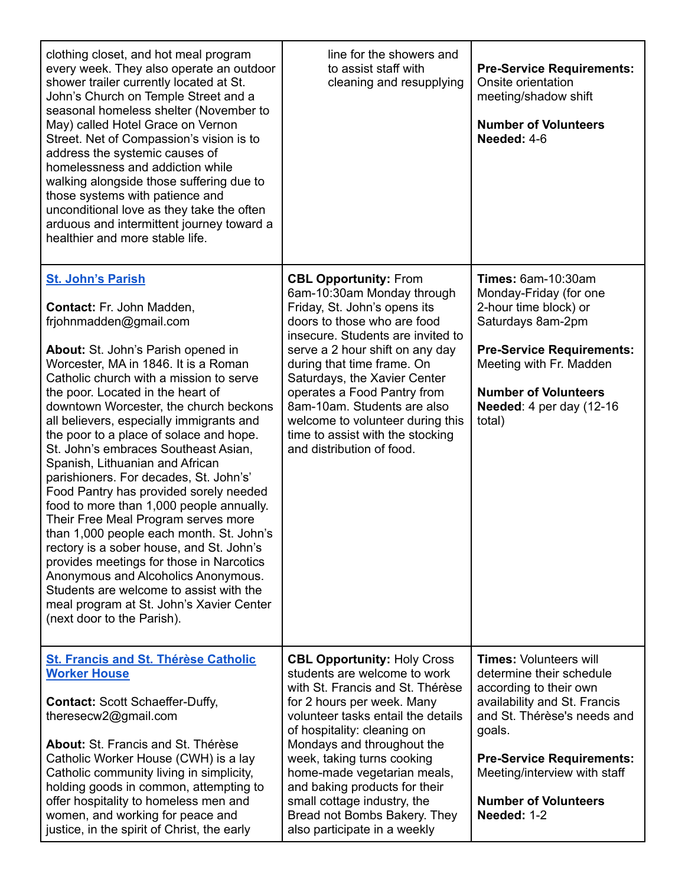| clothing closet, and hot meal program<br>every week. They also operate an outdoor<br>shower trailer currently located at St.<br>John's Church on Temple Street and a<br>seasonal homeless shelter (November to<br>May) called Hotel Grace on Vernon<br>Street. Net of Compassion's vision is to<br>address the systemic causes of<br>homelessness and addiction while<br>walking alongside those suffering due to<br>those systems with patience and<br>unconditional love as they take the often<br>arduous and intermittent journey toward a<br>healthier and more stable life.                                                                                                                                                                                                                                                                                                                                                | line for the showers and<br>to assist staff with<br>cleaning and resupplying                                                                                                                                                                                                                                                                                                                                                         | <b>Pre-Service Requirements:</b><br>Onsite orientation<br>meeting/shadow shift<br><b>Number of Volunteers</b><br>Needed: 4-6                                                                                                                                                   |
|----------------------------------------------------------------------------------------------------------------------------------------------------------------------------------------------------------------------------------------------------------------------------------------------------------------------------------------------------------------------------------------------------------------------------------------------------------------------------------------------------------------------------------------------------------------------------------------------------------------------------------------------------------------------------------------------------------------------------------------------------------------------------------------------------------------------------------------------------------------------------------------------------------------------------------|--------------------------------------------------------------------------------------------------------------------------------------------------------------------------------------------------------------------------------------------------------------------------------------------------------------------------------------------------------------------------------------------------------------------------------------|--------------------------------------------------------------------------------------------------------------------------------------------------------------------------------------------------------------------------------------------------------------------------------|
| <b>St. John's Parish</b><br>Contact: Fr. John Madden,<br>frjohnmadden@gmail.com<br>About: St. John's Parish opened in<br>Worcester, MA in 1846. It is a Roman<br>Catholic church with a mission to serve<br>the poor. Located in the heart of<br>downtown Worcester, the church beckons<br>all believers, especially immigrants and<br>the poor to a place of solace and hope.<br>St. John's embraces Southeast Asian,<br>Spanish, Lithuanian and African<br>parishioners. For decades, St. John's'<br>Food Pantry has provided sorely needed<br>food to more than 1,000 people annually.<br>Their Free Meal Program serves more<br>than 1,000 people each month. St. John's<br>rectory is a sober house, and St. John's<br>provides meetings for those in Narcotics<br>Anonymous and Alcoholics Anonymous.<br>Students are welcome to assist with the<br>meal program at St. John's Xavier Center<br>(next door to the Parish). | <b>CBL Opportunity: From</b><br>6am-10:30am Monday through<br>Friday, St. John's opens its<br>doors to those who are food<br>insecure. Students are invited to<br>serve a 2 hour shift on any day<br>during that time frame. On<br>Saturdays, the Xavier Center<br>operates a Food Pantry from<br>8am-10am. Students are also<br>welcome to volunteer during this<br>time to assist with the stocking<br>and distribution of food.   | <b>Times: 6am-10:30am</b><br>Monday-Friday (for one<br>2-hour time block) or<br>Saturdays 8am-2pm<br><b>Pre-Service Requirements:</b><br>Meeting with Fr. Madden<br><b>Number of Volunteers</b><br>Needed: 4 per day (12-16<br>total)                                          |
| <b>St. Francis and St. Thérèse Catholic</b><br><b>Worker House</b><br><b>Contact: Scott Schaeffer-Duffy,</b><br>theresecw2@gmail.com<br>About: St. Francis and St. Thérèse<br>Catholic Worker House (CWH) is a lay<br>Catholic community living in simplicity,<br>holding goods in common, attempting to<br>offer hospitality to homeless men and<br>women, and working for peace and<br>justice, in the spirit of Christ, the early                                                                                                                                                                                                                                                                                                                                                                                                                                                                                             | <b>CBL Opportunity: Holy Cross</b><br>students are welcome to work<br>with St. Francis and St. Thérèse<br>for 2 hours per week. Many<br>volunteer tasks entail the details<br>of hospitality: cleaning on<br>Mondays and throughout the<br>week, taking turns cooking<br>home-made vegetarian meals,<br>and baking products for their<br>small cottage industry, the<br>Bread not Bombs Bakery. They<br>also participate in a weekly | <b>Times: Volunteers will</b><br>determine their schedule<br>according to their own<br>availability and St. Francis<br>and St. Thérèse's needs and<br>goals.<br><b>Pre-Service Requirements:</b><br>Meeting/interview with staff<br><b>Number of Volunteers</b><br>Needed: 1-2 |